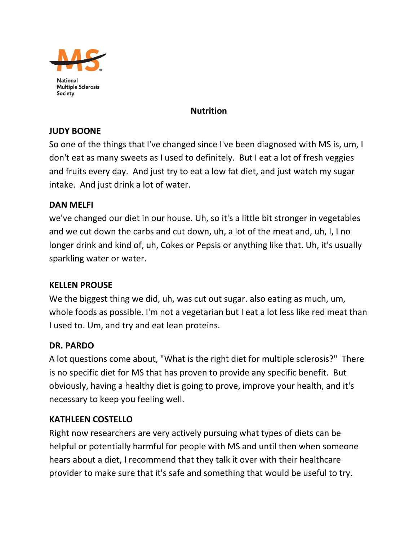

### **Nutrition**

#### **JUDY BOONE**

So one of the things that I've changed since I've been diagnosed with MS is, um, I don't eat as many sweets as I used to definitely. But I eat a lot of fresh veggies and fruits every day. And just try to eat a low fat diet, and just watch my sugar intake. And just drink a lot of water.

### **DAN MELFI**

we've changed our diet in our house. Uh, so it's a little bit stronger in vegetables and we cut down the carbs and cut down, uh, a lot of the meat and, uh, I, I no longer drink and kind of, uh, Cokes or Pepsis or anything like that. Uh, it's usually sparkling water or water.

#### **KELLEN PROUSE**

We the biggest thing we did, uh, was cut out sugar. also eating as much, um, whole foods as possible. I'm not a vegetarian but I eat a lot less like red meat than I used to. Um, and try and eat lean proteins.

#### **DR. PARDO**

A lot questions come about, "What is the right diet for multiple sclerosis?" There is no specific diet for MS that has proven to provide any specific benefit. But obviously, having a healthy diet is going to prove, improve your health, and it's necessary to keep you feeling well.

# **KATHLEEN COSTELLO**

Right now researchers are very actively pursuing what types of diets can be helpful or potentially harmful for people with MS and until then when someone hears about a diet, I recommend that they talk it over with their healthcare provider to make sure that it's safe and something that would be useful to try.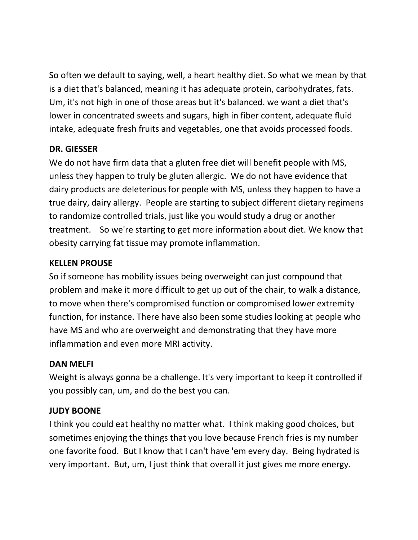So often we default to saying, well, a heart healthy diet. So what we mean by that is a diet that's balanced, meaning it has adequate protein, carbohydrates, fats. Um, it's not high in one of those areas but it's balanced. we want a diet that's lower in concentrated sweets and sugars, high in fiber content, adequate fluid intake, adequate fresh fruits and vegetables, one that avoids processed foods.

# **DR. GIESSER**

We do not have firm data that a gluten free diet will benefit people with MS, unless they happen to truly be gluten allergic. We do not have evidence that dairy products are deleterious for people with MS, unless they happen to have a true dairy, dairy allergy. People are starting to subject different dietary regimens to randomize controlled trials, just like you would study a drug or another treatment. So we're starting to get more information about diet. We know that obesity carrying fat tissue may promote inflammation.

### **KELLEN PROUSE**

So if someone has mobility issues being overweight can just compound that problem and make it more difficult to get up out of the chair, to walk a distance, to move when there's compromised function or compromised lower extremity function, for instance. There have also been some studies looking at people who have MS and who are overweight and demonstrating that they have more inflammation and even more MRI activity.

# **DAN MELFI**

Weight is always gonna be a challenge. It's very important to keep it controlled if you possibly can, um, and do the best you can.

# **JUDY BOONE**

I think you could eat healthy no matter what. I think making good choices, but sometimes enjoying the things that you love because French fries is my number one favorite food. But I know that I can't have 'em every day. Being hydrated is very important. But, um, I just think that overall it just gives me more energy.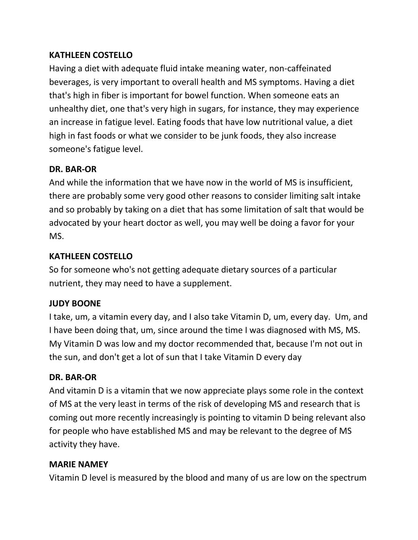# **KATHLEEN COSTELLO**

Having a diet with adequate fluid intake meaning water, non-caffeinated beverages, is very important to overall health and MS symptoms. Having a diet that's high in fiber is important for bowel function. When someone eats an unhealthy diet, one that's very high in sugars, for instance, they may experience an increase in fatigue level. Eating foods that have low nutritional value, a diet high in fast foods or what we consider to be junk foods, they also increase someone's fatigue level.

### **DR. BAR-OR**

And while the information that we have now in the world of MS is insufficient, there are probably some very good other reasons to consider limiting salt intake and so probably by taking on a diet that has some limitation of salt that would be advocated by your heart doctor as well, you may well be doing a favor for your MS.

### **KATHLEEN COSTELLO**

So for someone who's not getting adequate dietary sources of a particular nutrient, they may need to have a supplement.

# **JUDY BOONE**

I take, um, a vitamin every day, and I also take Vitamin D, um, every day. Um, and I have been doing that, um, since around the time I was diagnosed with MS, MS. My Vitamin D was low and my doctor recommended that, because I'm not out in the sun, and don't get a lot of sun that I take Vitamin D every day

#### **DR. BAR-OR**

And vitamin D is a vitamin that we now appreciate plays some role in the context of MS at the very least in terms of the risk of developing MS and research that is coming out more recently increasingly is pointing to vitamin D being relevant also for people who have established MS and may be relevant to the degree of MS activity they have.

#### **MARIE NAMEY**

Vitamin D level is measured by the blood and many of us are low on the spectrum